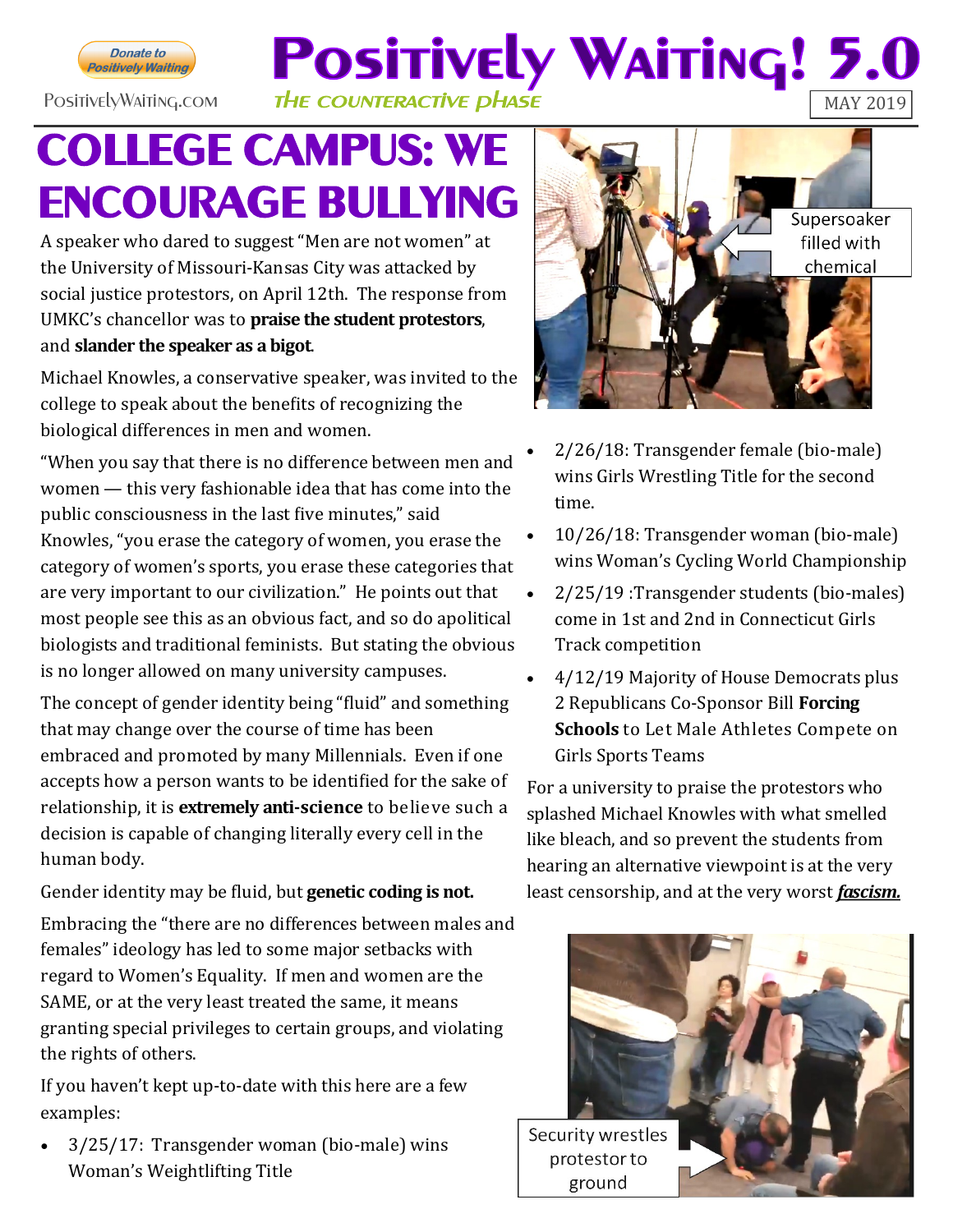

## **Positively Waiting! 5.** PositivelyWaiting.com THE COUNTERACTIVE **DHASE**

## **COLLEGE CAMPUS: WE ENCOURAGE BULLYING**

A speaker who dared to suggest "Men are not women" at the University of Missouri-Kansas City was attacked by social justice protestors, on April 12th. The response from UMKC's chancellor was to **praise the student protestors**, and **slander the speaker as a bigot**.

Michael Knowles, a conservative speaker, was invited to the college to speak about the benefits of recognizing the biological differences in men and women.

"When you say that there is no difference between men and women — this very fashionable idea that has come into the public consciousness in the last five minutes," said Knowles, "you erase the category of women, you erase the category of women's sports, you erase these categories that are very important to our civilization." He points out that most people see this as an obvious fact, and so do apolitical biologists and traditional feminists. But stating the obvious is no longer allowed on many university campuses.

The concept of gender identity being "fluid" and something that may change over the course of time has been embraced and promoted by many Millennials. Even if one accepts how a person wants to be identified for the sake of relationship, it is **extremely anti-science** to believe such a decision is capable of changing literally every cell in the human body.

Gender identity may be fluid, but **genetic coding is not.**

Embracing the "there are no differences between males and females" ideology has led to some major setbacks with regard to Women's Equality. If men and women are the SAME, or at the very least treated the same, it means granting special privileges to certain groups, and violating the rights of others.

If you haven't kept up-to-date with this here are a few examples:

 3/25/17: Transgender woman (bio-male) wins Woman's Weightlifting Title



- 2/26/18: Transgender female (bio-male) wins Girls Wrestling Title for the second time.
- 10/26/18: Transgender woman (bio-male) wins Woman's Cycling World Championship
- 2/25/19 :Transgender students (bio-males) come in 1st and 2nd in Connecticut Girls Track competition
- 4/12/19 Majority of House Democrats plus 2 Republicans Co-Sponsor Bill **Forcing Schools** to Let Male Athletes Compete on Girls Sports Teams

For a university to praise the protestors who splashed Michael Knowles with what smelled like bleach, and so prevent the students from hearing an alternative viewpoint is at the very least censorship, and at the very worst *fascism.*